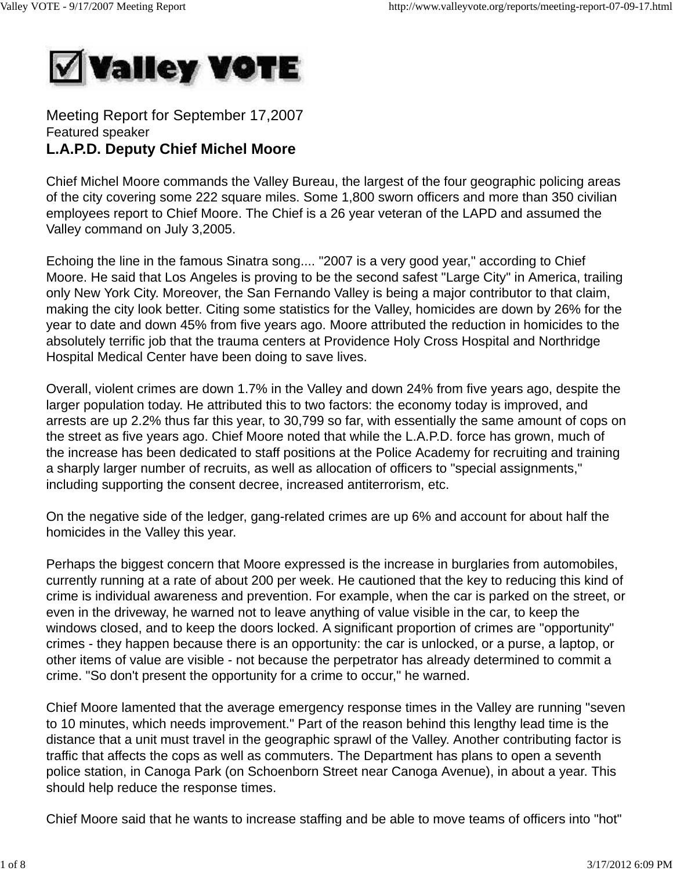

Meeting Report for September 17,2007 Featured speaker **L.A.P.D. Deputy Chief Michel Moore**

Chief Michel Moore commands the Valley Bureau, the largest of the four geographic policing areas of the city covering some 222 square miles. Some 1,800 sworn officers and more than 350 civilian employees report to Chief Moore. The Chief is a 26 year veteran of the LAPD and assumed the Valley command on July 3,2005.

Echoing the line in the famous Sinatra song.... "2007 is a very good year," according to Chief Moore. He said that Los Angeles is proving to be the second safest "Large City" in America, trailing only New York City. Moreover, the San Fernando Valley is being a major contributor to that claim, making the city look better. Citing some statistics for the Valley, homicides are down by 26% for the year to date and down 45% from five years ago. Moore attributed the reduction in homicides to the absolutely terrific job that the trauma centers at Providence Holy Cross Hospital and Northridge Hospital Medical Center have been doing to save lives.

Overall, violent crimes are down 1.7% in the Valley and down 24% from five years ago, despite the larger population today. He attributed this to two factors: the economy today is improved, and arrests are up 2.2% thus far this year, to 30,799 so far, with essentially the same amount of cops on the street as five years ago. Chief Moore noted that while the L.A.P.D. force has grown, much of the increase has been dedicated to staff positions at the Police Academy for recruiting and training a sharply larger number of recruits, as well as allocation of officers to "special assignments," including supporting the consent decree, increased antiterrorism, etc.

On the negative side of the ledger, gang-related crimes are up 6% and account for about half the homicides in the Valley this year.

Perhaps the biggest concern that Moore expressed is the increase in burglaries from automobiles, currently running at a rate of about 200 per week. He cautioned that the key to reducing this kind of crime is individual awareness and prevention. For example, when the car is parked on the street, or even in the driveway, he warned not to leave anything of value visible in the car, to keep the windows closed, and to keep the doors locked. A significant proportion of crimes are "opportunity" crimes - they happen because there is an opportunity: the car is unlocked, or a purse, a laptop, or other items of value are visible - not because the perpetrator has already determined to commit a crime. "So don't present the opportunity for a crime to occur," he warned.

Chief Moore lamented that the average emergency response times in the Valley are running "seven to 10 minutes, which needs improvement." Part of the reason behind this lengthy lead time is the distance that a unit must travel in the geographic sprawl of the Valley. Another contributing factor is traffic that affects the cops as well as commuters. The Department has plans to open a seventh police station, in Canoga Park (on Schoenborn Street near Canoga Avenue), in about a year. This should help reduce the response times.

Chief Moore said that he wants to increase staffing and be able to move teams of officers into "hot"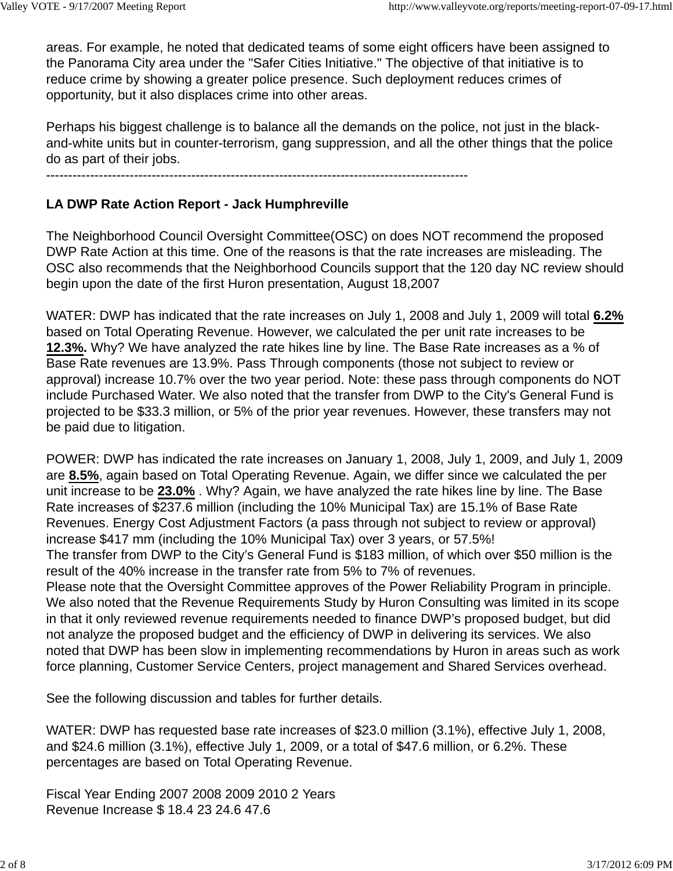areas. For example, he noted that dedicated teams of some eight officers have been assigned to the Panorama City area under the "Safer Cities Initiative." The objective of that initiative is to reduce crime by showing a greater police presence. Such deployment reduces crimes of opportunity, but it also displaces crime into other areas.

Perhaps his biggest challenge is to balance all the demands on the police, not just in the blackand-white units but in counter-terrorism, gang suppression, and all the other things that the police do as part of their jobs.

------------------------------------------------------------------------------------------------

## **LA DWP Rate Action Report - Jack Humphreville**

The Neighborhood Council Oversight Committee(OSC) on does NOT recommend the proposed DWP Rate Action at this time. One of the reasons is that the rate increases are misleading. The OSC also recommends that the Neighborhood Councils support that the 120 day NC review should begin upon the date of the first Huron presentation, August 18,2007

WATER: DWP has indicated that the rate increases on July 1, 2008 and July 1, 2009 will total **6.2%** based on Total Operating Revenue. However, we calculated the per unit rate increases to be **12.3%.** Why? We have analyzed the rate hikes line by line. The Base Rate increases as a % of Base Rate revenues are 13.9%. Pass Through components (those not subject to review or approval) increase 10.7% over the two year period. Note: these pass through components do NOT include Purchased Water. We also noted that the transfer from DWP to the City's General Fund is projected to be \$33.3 million, or 5% of the prior year revenues. However, these transfers may not be paid due to litigation.

POWER: DWP has indicated the rate increases on January 1, 2008, July 1, 2009, and July 1, 2009 are **8.5%**, again based on Total Operating Revenue. Again, we differ since we calculated the per unit increase to be **23.0%** . Why? Again, we have analyzed the rate hikes line by line. The Base Rate increases of \$237.6 million (including the 10% Municipal Tax) are 15.1% of Base Rate Revenues. Energy Cost Adjustment Factors (a pass through not subject to review or approval) increase \$417 mm (including the 10% Municipal Tax) over 3 years, or 57.5%! The transfer from DWP to the City's General Fund is \$183 million, of which over \$50 million is the result of the 40% increase in the transfer rate from 5% to 7% of revenues. Please note that the Oversight Committee approves of the Power Reliability Program in principle. We also noted that the Revenue Requirements Study by Huron Consulting was limited in its scope in that it only reviewed revenue requirements needed to finance DWP's proposed budget, but did not analyze the proposed budget and the efficiency of DWP in delivering its services. We also noted that DWP has been slow in implementing recommendations by Huron in areas such as work force planning, Customer Service Centers, project management and Shared Services overhead.

See the following discussion and tables for further details.

WATER: DWP has requested base rate increases of \$23.0 million (3.1%), effective July 1, 2008, and \$24.6 million (3.1%), effective July 1, 2009, or a total of \$47.6 million, or 6.2%. These percentages are based on Total Operating Revenue.

Fiscal Year Ending 2007 2008 2009 2010 2 Years Revenue Increase \$ 18.4 23 24.6 47.6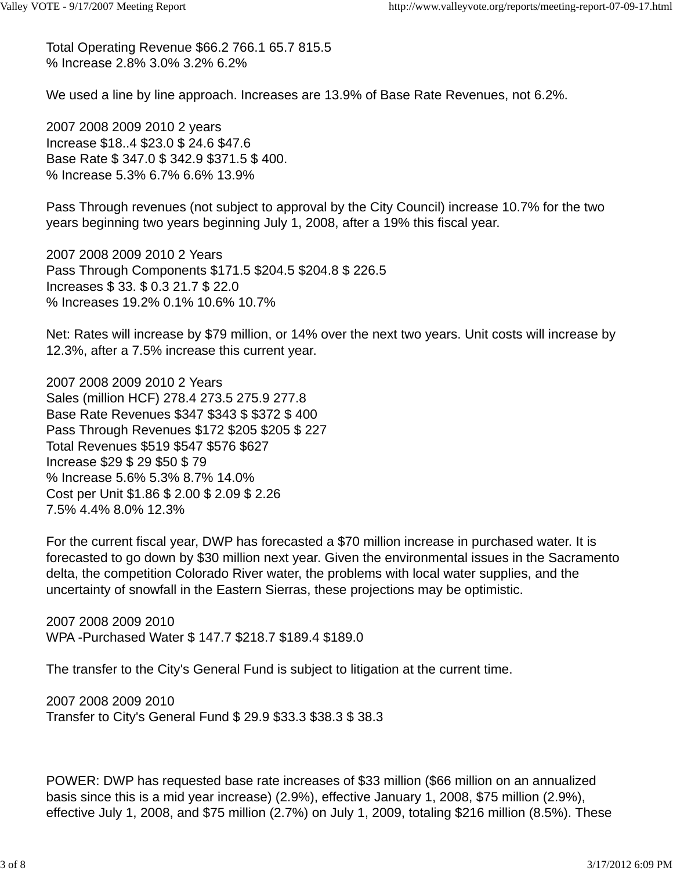Total Operating Revenue \$66.2 766.1 65.7 815.5 % Increase 2.8% 3.0% 3.2% 6.2%

We used a line by line approach. Increases are 13.9% of Base Rate Revenues, not 6.2%.

2007 2008 2009 2010 2 years Increase \$18..4 \$23.0 \$ 24.6 \$47.6 Base Rate \$ 347.0 \$ 342.9 \$371.5 \$ 400. % Increase 5.3% 6.7% 6.6% 13.9%

Pass Through revenues (not subject to approval by the City Council) increase 10.7% for the two years beginning two years beginning July 1, 2008, after a 19% this fiscal year.

2007 2008 2009 2010 2 Years Pass Through Components \$171.5 \$204.5 \$204.8 \$ 226.5 Increases \$ 33. \$ 0.3 21.7 \$ 22.0 % Increases 19.2% 0.1% 10.6% 10.7%

Net: Rates will increase by \$79 million, or 14% over the next two years. Unit costs will increase by 12.3%, after a 7.5% increase this current year.

2007 2008 2009 2010 2 Years Sales (million HCF) 278.4 273.5 275.9 277.8 Base Rate Revenues \$347 \$343 \$ \$372 \$ 400 Pass Through Revenues \$172 \$205 \$205 \$ 227 Total Revenues \$519 \$547 \$576 \$627 Increase \$29 \$ 29 \$50 \$ 79 % Increase 5.6% 5.3% 8.7% 14.0% Cost per Unit \$1.86 \$ 2.00 \$ 2.09 \$ 2.26 7.5% 4.4% 8.0% 12.3%

For the current fiscal year, DWP has forecasted a \$70 million increase in purchased water. It is forecasted to go down by \$30 million next year. Given the environmental issues in the Sacramento delta, the competition Colorado River water, the problems with local water supplies, and the uncertainty of snowfall in the Eastern Sierras, these projections may be optimistic.

2007 2008 2009 2010 WPA -Purchased Water \$ 147.7 \$218.7 \$189.4 \$189.0

The transfer to the City's General Fund is subject to litigation at the current time.

2007 2008 2009 2010 Transfer to City's General Fund \$ 29.9 \$33.3 \$38.3 \$ 38.3

POWER: DWP has requested base rate increases of \$33 million (\$66 million on an annualized basis since this is a mid year increase) (2.9%), effective January 1, 2008, \$75 million (2.9%), effective July 1, 2008, and \$75 million (2.7%) on July 1, 2009, totaling \$216 million (8.5%). These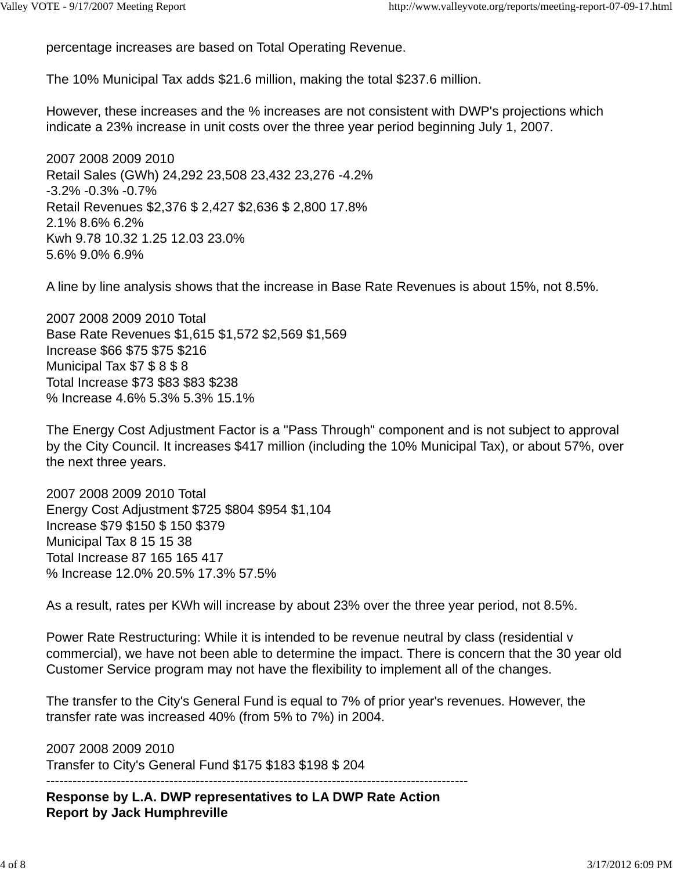percentage increases are based on Total Operating Revenue.

The 10% Municipal Tax adds \$21.6 million, making the total \$237.6 million.

However, these increases and the % increases are not consistent with DWP's projections which indicate a 23% increase in unit costs over the three year period beginning July 1, 2007.

2007 2008 2009 2010 Retail Sales (GWh) 24,292 23,508 23,432 23,276 -4.2% -3.2% -0.3% -0.7% Retail Revenues \$2,376 \$ 2,427 \$2,636 \$ 2,800 17.8% 2.1% 8.6% 6.2% Kwh 9.78 10.32 1.25 12.03 23.0% 5.6% 9.0% 6.9%

A line by line analysis shows that the increase in Base Rate Revenues is about 15%, not 8.5%.

2007 2008 2009 2010 Total Base Rate Revenues \$1,615 \$1,572 \$2,569 \$1,569 Increase \$66 \$75 \$75 \$216 Municipal Tax \$7 \$ 8 \$ 8 Total Increase \$73 \$83 \$83 \$238 % Increase 4.6% 5.3% 5.3% 15.1%

The Energy Cost Adjustment Factor is a "Pass Through" component and is not subject to approval by the City Council. It increases \$417 million (including the 10% Municipal Tax), or about 57%, over the next three years.

2007 2008 2009 2010 Total Energy Cost Adjustment \$725 \$804 \$954 \$1,104 Increase \$79 \$150 \$ 150 \$379 Municipal Tax 8 15 15 38 Total Increase 87 165 165 417 % Increase 12.0% 20.5% 17.3% 57.5%

As a result, rates per KWh will increase by about 23% over the three year period, not 8.5%.

Power Rate Restructuring: While it is intended to be revenue neutral by class (residential v commercial), we have not been able to determine the impact. There is concern that the 30 year old Customer Service program may not have the flexibility to implement all of the changes.

The transfer to the City's General Fund is equal to 7% of prior year's revenues. However, the transfer rate was increased 40% (from 5% to 7%) in 2004.

2007 2008 2009 2010 Transfer to City's General Fund \$175 \$183 \$198 \$ 204

------------------------------------------------------------------------------------------------ **Response by L.A. DWP representatives to LA DWP Rate Action Report by Jack Humphreville**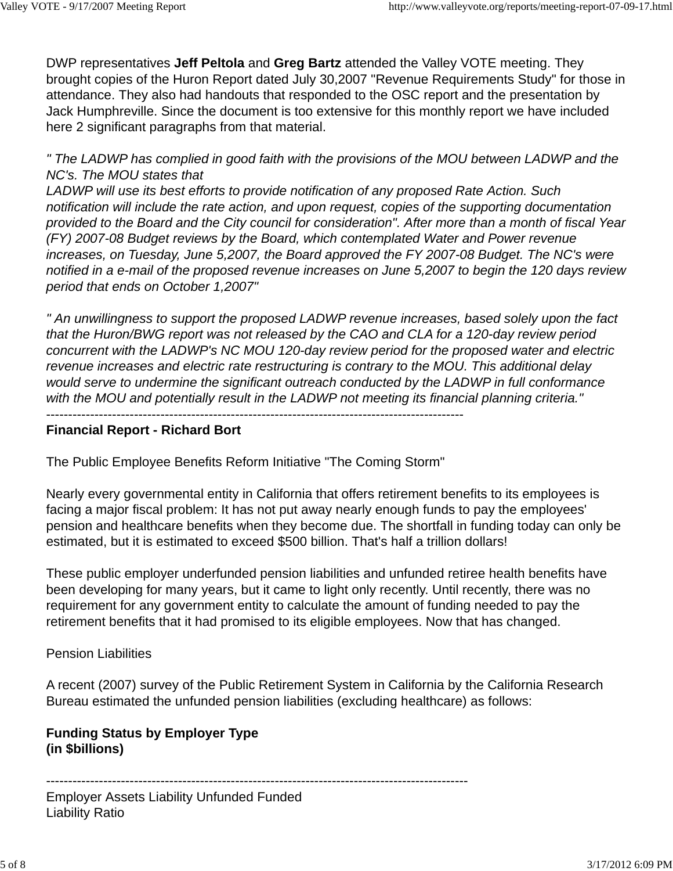DWP representatives **Jeff Peltola** and **Greg Bartz** attended the Valley VOTE meeting. They brought copies of the Huron Report dated July 30,2007 "Revenue Requirements Study" for those in attendance. They also had handouts that responded to the OSC report and the presentation by Jack Humphreville. Since the document is too extensive for this monthly report we have included here 2 significant paragraphs from that material.

*" The LADWP has complied in good faith with the provisions of the MOU between LADWP and the NC's. The MOU states that*

*LADWP will use its best efforts to provide notification of any proposed Rate Action. Such notification will include the rate action, and upon request, copies of the supporting documentation provided to the Board and the City council for consideration". After more than a month of fiscal Year (FY) 2007-08 Budget reviews by the Board, which contemplated Water and Power revenue increases, on Tuesday, June 5,2007, the Board approved the FY 2007-08 Budget. The NC's were notified in a e-mail of the proposed revenue increases on June 5,2007 to begin the 120 days review period that ends on October 1,2007"*

*" An unwillingness to support the proposed LADWP revenue increases, based solely upon the fact that the Huron/BWG report was not released by the CAO and CLA for a 120-day review period concurrent with the LADWP's NC MOU 120-day review period for the proposed water and electric revenue increases and electric rate restructuring is contrary to the MOU. This additional delay would serve to undermine the significant outreach conducted by the LADWP in full conformance with the MOU and potentially result in the LADWP not meeting its financial planning criteria."* -----------------------------------------------------------------------------------------------

### **Financial Report - Richard Bort**

The Public Employee Benefits Reform Initiative "The Coming Storm"

Nearly every governmental entity in California that offers retirement benefits to its employees is facing a major fiscal problem: It has not put away nearly enough funds to pay the employees' pension and healthcare benefits when they become due. The shortfall in funding today can only be estimated, but it is estimated to exceed \$500 billion. That's half a trillion dollars!

These public employer underfunded pension liabilities and unfunded retiree health benefits have been developing for many years, but it came to light only recently. Until recently, there was no requirement for any government entity to calculate the amount of funding needed to pay the retirement benefits that it had promised to its eligible employees. Now that has changed.

#### Pension Liabilities

A recent (2007) survey of the Public Retirement System in California by the California Research Bureau estimated the unfunded pension liabilities (excluding healthcare) as follows:

# **Funding Status by Employer Type (in \$billions)**

------------------------------------------------------------------------------------------------ Employer Assets Liability Unfunded Funded Liability Ratio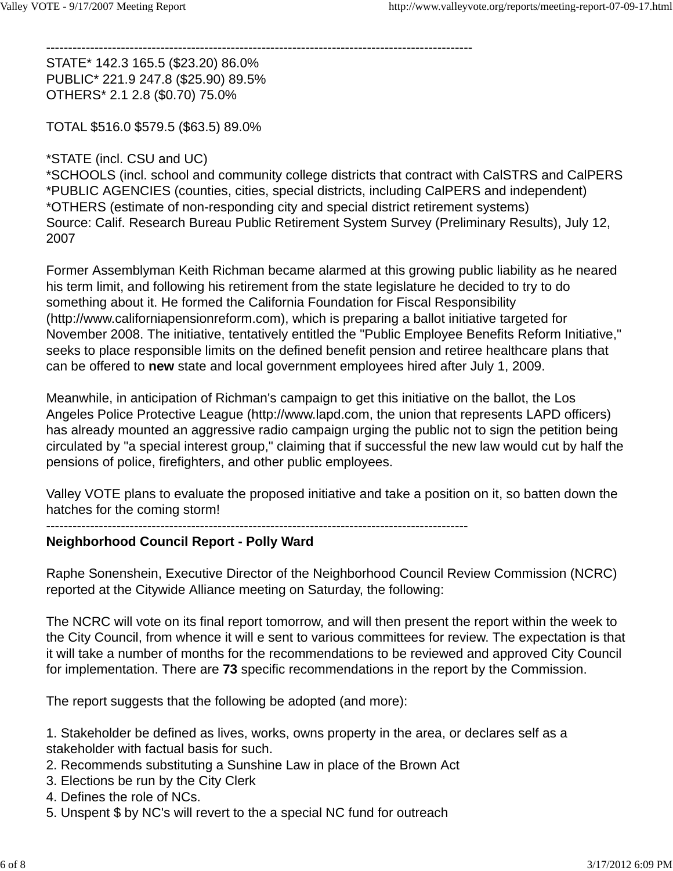-------------------------------------------------------------------------------------------------

STATE\* 142.3 165.5 (\$23.20) 86.0% PUBLIC\* 221.9 247.8 (\$25.90) 89.5% OTHERS\* 2.1 2.8 (\$0.70) 75.0%

TOTAL \$516.0 \$579.5 (\$63.5) 89.0%

### \*STATE (incl. CSU and UC)

\*SCHOOLS (incl. school and community college districts that contract with CalSTRS and CalPERS \*PUBLIC AGENCIES (counties, cities, special districts, including CalPERS and independent) \*OTHERS (estimate of non-responding city and special district retirement systems) Source: Calif. Research Bureau Public Retirement System Survey (Preliminary Results), July 12, 2007

Former Assemblyman Keith Richman became alarmed at this growing public liability as he neared his term limit, and following his retirement from the state legislature he decided to try to do something about it. He formed the California Foundation for Fiscal Responsibility (http://www.californiapensionreform.com), which is preparing a ballot initiative targeted for November 2008. The initiative, tentatively entitled the "Public Employee Benefits Reform Initiative," seeks to place responsible limits on the defined benefit pension and retiree healthcare plans that can be offered to **new** state and local government employees hired after July 1, 2009.

Meanwhile, in anticipation of Richman's campaign to get this initiative on the ballot, the Los Angeles Police Protective League (http://www.lapd.com, the union that represents LAPD officers) has already mounted an aggressive radio campaign urging the public not to sign the petition being circulated by "a special interest group," claiming that if successful the new law would cut by half the pensions of police, firefighters, and other public employees.

Valley VOTE plans to evaluate the proposed initiative and take a position on it, so batten down the hatches for the coming storm!

#### ------------------------------------------------------------------------------------------------

#### **Neighborhood Council Report - Polly Ward**

Raphe Sonenshein, Executive Director of the Neighborhood Council Review Commission (NCRC) reported at the Citywide Alliance meeting on Saturday, the following:

The NCRC will vote on its final report tomorrow, and will then present the report within the week to the City Council, from whence it will e sent to various committees for review. The expectation is that it will take a number of months for the recommendations to be reviewed and approved City Council for implementation. There are **73** specific recommendations in the report by the Commission.

The report suggests that the following be adopted (and more):

1. Stakeholder be defined as lives, works, owns property in the area, or declares self as a stakeholder with factual basis for such.

- 2. Recommends substituting a Sunshine Law in place of the Brown Act
- 3. Elections be run by the City Clerk
- 4. Defines the role of NCs.
- 5. Unspent \$ by NC's will revert to the a special NC fund for outreach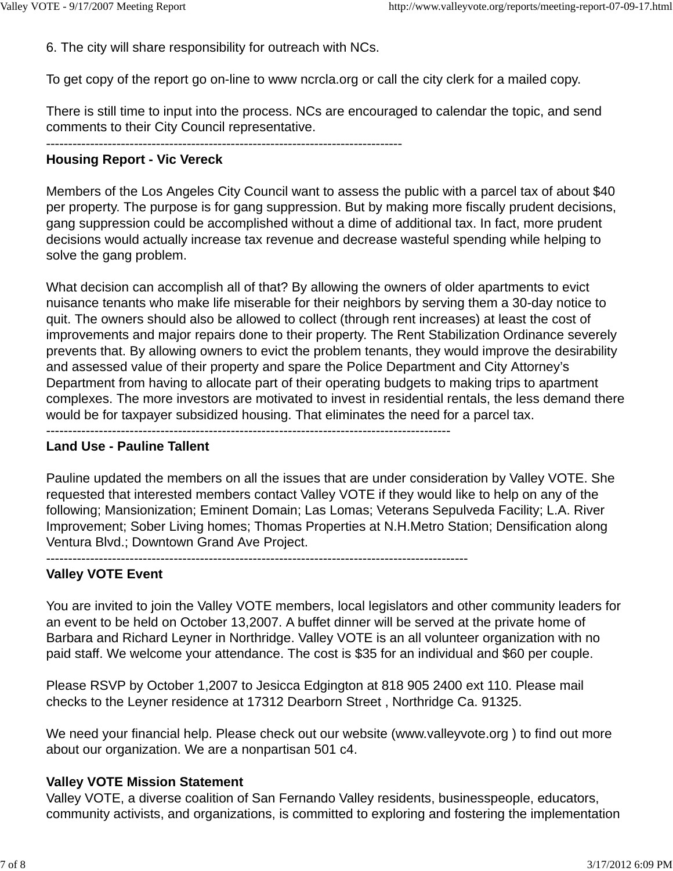6. The city will share responsibility for outreach with NCs.

To get copy of the report go on-line to www ncrcla.org or call the city clerk for a mailed copy.

There is still time to input into the process. NCs are encouraged to calendar the topic, and send comments to their City Council representative.

### **Housing Report - Vic Vereck**

Members of the Los Angeles City Council want to assess the public with a parcel tax of about \$40 per property. The purpose is for gang suppression. But by making more fiscally prudent decisions, gang suppression could be accomplished without a dime of additional tax. In fact, more prudent decisions would actually increase tax revenue and decrease wasteful spending while helping to solve the gang problem.

What decision can accomplish all of that? By allowing the owners of older apartments to evict nuisance tenants who make life miserable for their neighbors by serving them a 30-day notice to quit. The owners should also be allowed to collect (through rent increases) at least the cost of improvements and major repairs done to their property. The Rent Stabilization Ordinance severely prevents that. By allowing owners to evict the problem tenants, they would improve the desirability and assessed value of their property and spare the Police Department and City Attorney's Department from having to allocate part of their operating budgets to making trips to apartment complexes. The more investors are motivated to invest in residential rentals, the less demand there would be for taxpayer subsidized housing. That eliminates the need for a parcel tax.

--------------------------------------------------------------------------------------------

#### **Land Use - Pauline Tallent**

Pauline updated the members on all the issues that are under consideration by Valley VOTE. She requested that interested members contact Valley VOTE if they would like to help on any of the following; Mansionization; Eminent Domain; Las Lomas; Veterans Sepulveda Facility; L.A. River Improvement; Sober Living homes; Thomas Properties at N.H.Metro Station; Densification along Ventura Blvd.; Downtown Grand Ave Project.

------------------------------------------------------------------------------------------------

### **Valley VOTE Event**

You are invited to join the Valley VOTE members, local legislators and other community leaders for an event to be held on October 13,2007. A buffet dinner will be served at the private home of Barbara and Richard Leyner in Northridge. Valley VOTE is an all volunteer organization with no paid staff. We welcome your attendance. The cost is \$35 for an individual and \$60 per couple.

Please RSVP by October 1,2007 to Jesicca Edgington at 818 905 2400 ext 110. Please mail checks to the Leyner residence at 17312 Dearborn Street , Northridge Ca. 91325.

We need your financial help. Please check out our website (www.valleyvote.org ) to find out more about our organization. We are a nonpartisan 501 c4.

#### **Valley VOTE Mission Statement**

Valley VOTE, a diverse coalition of San Fernando Valley residents, businesspeople, educators, community activists, and organizations, is committed to exploring and fostering the implementation